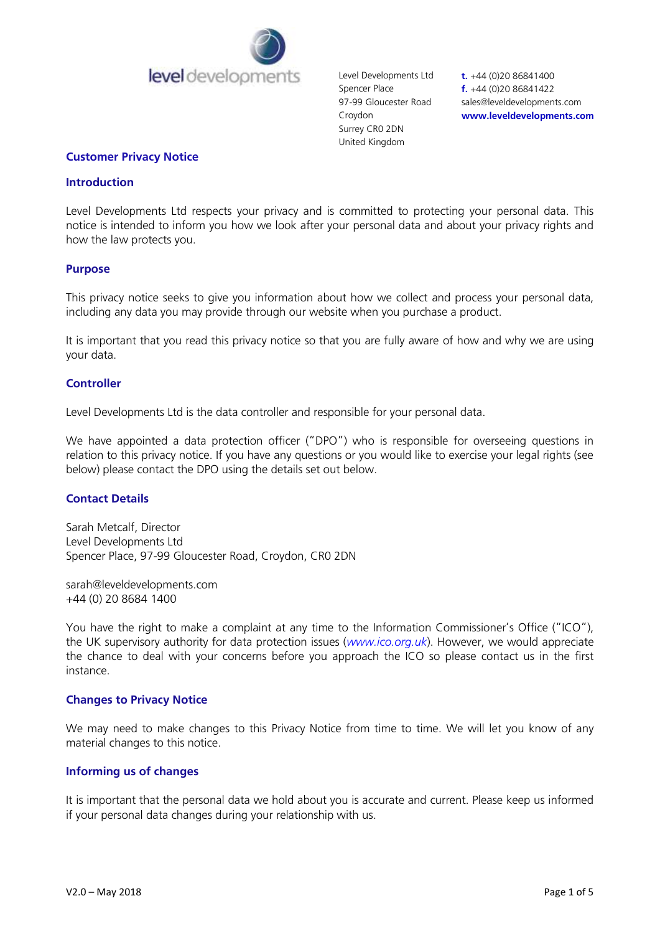

Level Developments Ltd Spencer Place 97-99 Gloucester Road Croydon Surrey CR0 2DN United Kingdom

**t.** +44 (0)20 86841400 **f.** +44 (0)20 86841422 sales@leveldevelopments.com **www.leveldevelopments.com**

#### **Customer Privacy Notice**

#### **Introduction**

Level Developments Ltd respects your privacy and is committed to protecting your personal data. This notice is intended to inform you how we look after your personal data and about your privacy rights and how the law protects you.

#### **Purpose**

This privacy notice seeks to give you information about how we collect and process your personal data, including any data you may provide through our website when you purchase a product.

It is important that you read this privacy notice so that you are fully aware of how and why we are using your data.

#### **Controller**

Level Developments Ltd is the data controller and responsible for your personal data.

We have appointed a data protection officer ("DPO") who is responsible for overseeing questions in relation to this privacy notice. If you have any questions or you would like to exercise your legal rights (see below) please contact the DPO using the details set out below.

### **Contact Details**

Sarah Metcalf, Director Level Developments Ltd Spencer Place, 97-99 Gloucester Road, Croydon, CR0 2DN

sarah@leveldevelopments.com +44 (0) 20 8684 1400

You have the right to make a complaint at any time to the Information Commissioner's Office ("ICO"), the UK supervisory authority for data protection issues (*[www.ico.org.uk](http://www.ico.org.uk/)*). However, we would appreciate the chance to deal with your concerns before you approach the ICO so please contact us in the first instance.

#### **Changes to Privacy Notice**

We may need to make changes to this Privacy Notice from time to time. We will let you know of any material changes to this notice.

#### **Informing us of changes**

It is important that the personal data we hold about you is accurate and current. Please keep us informed if your personal data changes during your relationship with us.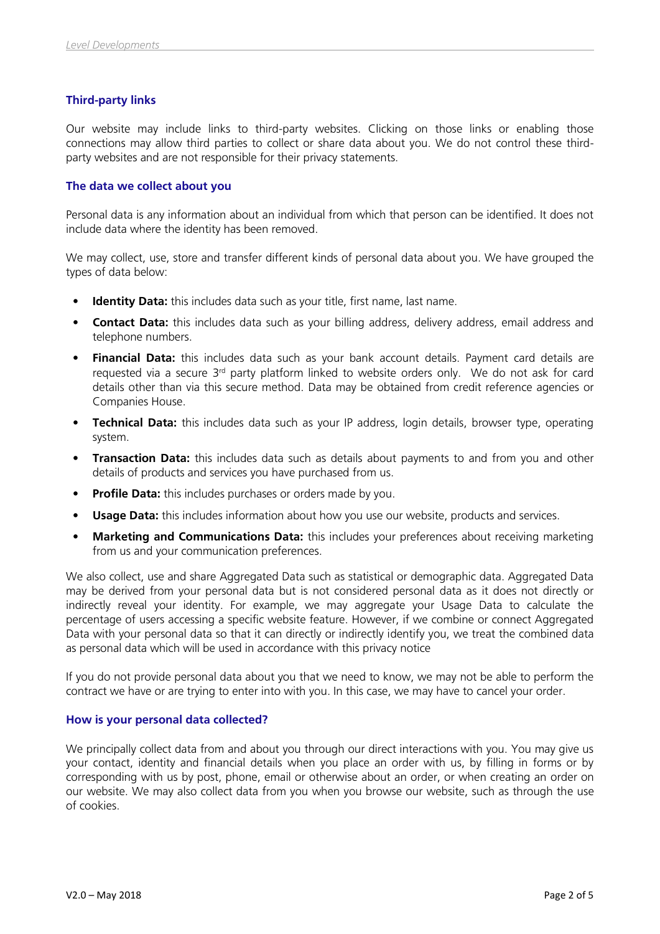# **Third-party links**

Our website may include links to third-party websites. Clicking on those links or enabling those connections may allow third parties to collect or share data about you. We do not control these thirdparty websites and are not responsible for their privacy statements.

## **The data we collect about you**

Personal data is any information about an individual from which that person can be identified. It does not include data where the identity has been removed.

We may collect, use, store and transfer different kinds of personal data about you. We have grouped the types of data below:

- **Identity Data:** this includes data such as your title, first name, last name.
- **Contact Data:** this includes data such as your billing address, delivery address, email address and telephone numbers.
- **Financial Data:** this includes data such as your bank account details. Payment card details are requested via a secure 3<sup>rd</sup> party platform linked to website orders only. We do not ask for card details other than via this secure method. Data may be obtained from credit reference agencies or Companies House.
- **Technical Data:** this includes data such as your IP address, login details, browser type, operating system.
- **Transaction Data:** this includes data such as details about payments to and from you and other details of products and services you have purchased from us.
- **Profile Data:** this includes purchases or orders made by you.
- **Usage Data:** this includes information about how you use our website, products and services.
- **Marketing and Communications Data:** this includes your preferences about receiving marketing from us and your communication preferences.

We also collect, use and share Aggregated Data such as statistical or demographic data. Aggregated Data may be derived from your personal data but is not considered personal data as it does not directly or indirectly reveal your identity. For example, we may aggregate your Usage Data to calculate the percentage of users accessing a specific website feature. However, if we combine or connect Aggregated Data with your personal data so that it can directly or indirectly identify you, we treat the combined data as personal data which will be used in accordance with this privacy notice

If you do not provide personal data about you that we need to know, we may not be able to perform the contract we have or are trying to enter into with you. In this case, we may have to cancel your order.

### **How is your personal data collected?**

We principally collect data from and about you through our direct interactions with you. You may give us your contact, identity and financial details when you place an order with us, by filling in forms or by corresponding with us by post, phone, email or otherwise about an order, or when creating an order on our website. We may also collect data from you when you browse our website, such as through the use of cookies.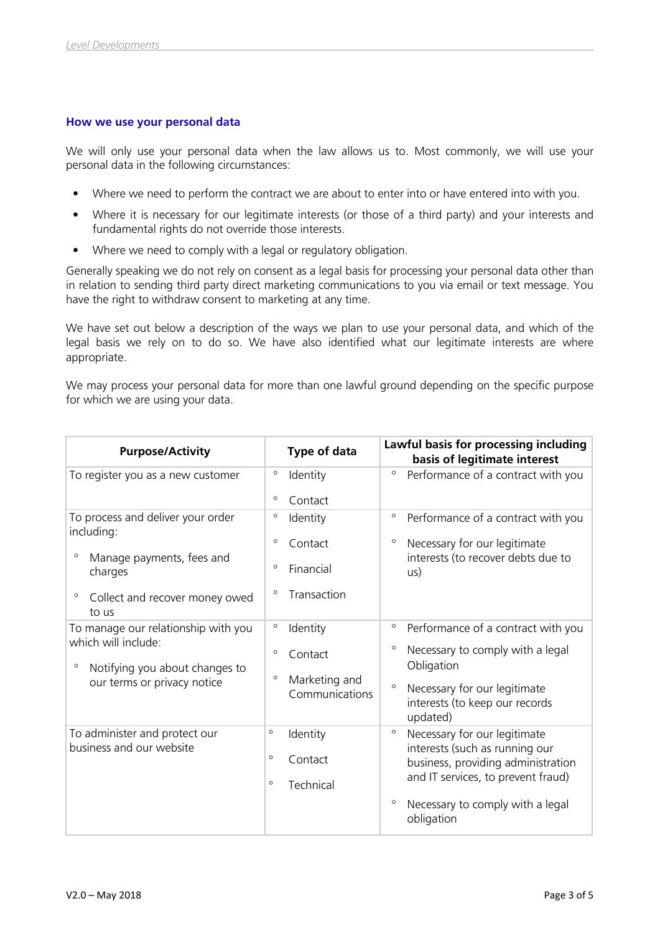### **How we use your personal data**

We will only use your personal data when the law allows us to. Most commonly, we will use your personal data in the following circumstances:

- Where we need to perform the contract we are about to enter into or have entered into with you.
- Where it is necessary for our legitimate interests (or those of a third party) and your interests and fundamental rights do not override those interests.
- Where we need to comply with a legal or regulatory obligation.

Generally speaking we do not rely on consent as a legal basis for processing your personal data other than in relation to sending third party direct marketing communications to you via email or text message. You have the right to withdraw consent to marketing at any time.

We have set out below a description of the ways we plan to use your personal data, and which of the legal basis we rely on to do so. We have also identified what our legitimate interests are where appropriate.

We may process your personal data for more than one lawful ground depending on the specific purpose for which we are using your data.

| <b>Purpose/Activity</b>                                                                                                                                  | Type of data                                                                                | Lawful basis for processing including<br>basis of legitimate interest                                                                                                                                              |
|----------------------------------------------------------------------------------------------------------------------------------------------------------|---------------------------------------------------------------------------------------------|--------------------------------------------------------------------------------------------------------------------------------------------------------------------------------------------------------------------|
| To register you as a new customer                                                                                                                        | $\circ$<br>Identity<br>$\circ$<br>Contact                                                   | $\circ$<br>Performance of a contract with you                                                                                                                                                                      |
| To process and deliver your order<br>including:<br>$\circ$<br>Manage payments, fees and<br>charges<br>$\circ$<br>Collect and recover money owed<br>to us | $\circ$<br>Identity<br>$\circ$<br>Contact<br>Financial<br>$\circ$<br>Transaction<br>$\circ$ | $\circ$<br>Performance of a contract with you<br>$\circ$<br>Necessary for our legitimate<br>interests (to recover debts due to<br>us)                                                                              |
| To manage our relationship with you<br>which will include:<br>$\circ$<br>Notifying you about changes to<br>our terms or privacy notice                   | $\circ$<br>Identity<br>$\circ$<br>Contact<br>$\circ$<br>Marketing and<br>Communications     | $\circ$<br>Performance of a contract with you<br>$\circ$<br>Necessary to comply with a legal<br>Obligation<br>$\circ$<br>Necessary for our legitimate<br>interests (to keep our records<br>updated)                |
| To administer and protect our<br>business and our website                                                                                                | $\circ$<br>Identity<br>$\circ$<br>Contact<br>$\circ$<br>Technical                           | $\circ$<br>Necessary for our legitimate<br>interests (such as running our<br>business, providing administration<br>and IT services, to prevent fraud)<br>$\circ$<br>Necessary to comply with a legal<br>obligation |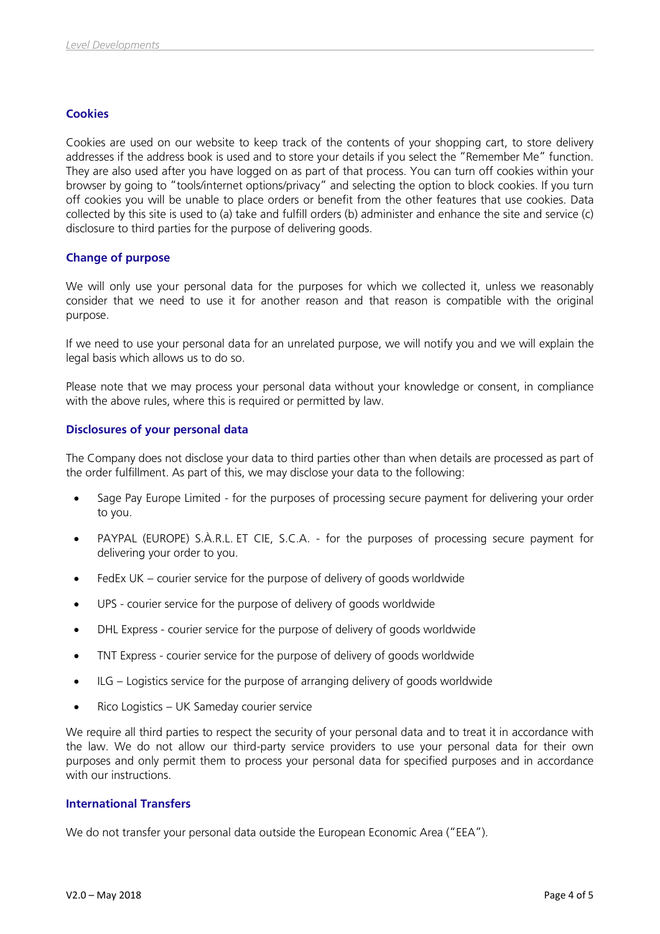# **Cookies**

Cookies are used on our website to keep track of the contents of your shopping cart, to store delivery addresses if the address book is used and to store your details if you select the "Remember Me" function. They are also used after you have logged on as part of that process. You can turn off cookies within your browser by going to "tools/internet options/privacy" and selecting the option to block cookies. If you turn off cookies you will be unable to place orders or benefit from the other features that use cookies. Data collected by this site is used to (a) take and fulfill orders (b) administer and enhance the site and service (c) disclosure to third parties for the purpose of delivering goods.

# **Change of purpose**

We will only use your personal data for the purposes for which we collected it, unless we reasonably consider that we need to use it for another reason and that reason is compatible with the original purpose.

If we need to use your personal data for an unrelated purpose, we will notify you and we will explain the legal basis which allows us to do so.

Please note that we may process your personal data without your knowledge or consent, in compliance with the above rules, where this is required or permitted by law.

# **Disclosures of your personal data**

The Company does not disclose your data to third parties other than when details are processed as part of the order fulfillment. As part of this, we may disclose your data to the following:

- Sage Pay Europe Limited for the purposes of processing secure payment for delivering your order to you.
- PAYPAL (EUROPE) S.À.R.L. ET CIE, S.C.A. for the purposes of processing secure payment for delivering your order to you.
- FedEx UK courier service for the purpose of delivery of goods worldwide
- UPS courier service for the purpose of delivery of goods worldwide
- DHL Express courier service for the purpose of delivery of goods worldwide
- TNT Express courier service for the purpose of delivery of goods worldwide
- ILG Logistics service for the purpose of arranging delivery of goods worldwide
- Rico Logistics UK Sameday courier service

We require all third parties to respect the security of your personal data and to treat it in accordance with the law. We do not allow our third-party service providers to use your personal data for their own purposes and only permit them to process your personal data for specified purposes and in accordance with our instructions.

### **International Transfers**

We do not transfer your personal data outside the European Economic Area ("EEA").